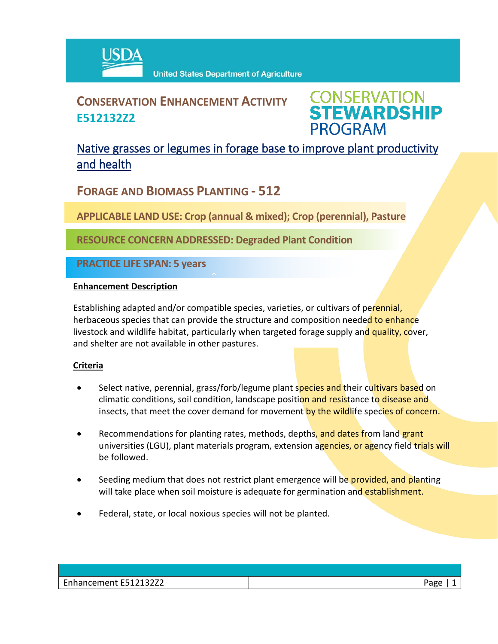

## **CONSERVATION ENHANCEMENT ACTIVITY E512132Z2**



### Native grasses or legumes in forage base to improve plant productivity and health

**FORAGE AND BIOMASS PLANTING - 512**

**APPLICABLE LAND USE: Crop (annual & mixed); Crop (perennial), Pasture**

**RESOURCE CONCERN ADDRESSED: Degraded Plant Condition**

 $\hat{ }$ 

**PRACTICE LIFE SPAN: 5 years**

#### **Enhancement Description**

Establishing adapted and/or compatible species, varieties, or cultivars of perennial, herbaceous species that can provide the structure and composition needed to enhance livestock and wildlife habitat, particularly when targeted forage supply and quality, cover, and shelter are not available in other pastures.

#### **Criteria**

- Select native, perennial, grass/forb/legume plant species and their cultivars based on climatic conditions, soil condition, landscape position and resistance to disease and insects, that meet the cover demand for movement by the wildlife species of concern.
- Recommendations for planting rates, methods, depths, and dates from land grant universities (LGU), plant materials program, extension agencies, or agency field trials will be followed.
- Seeding medium that does not restrict plant emergence will be **provided, and planting** will take place when soil moisture is adequate for germination and establishment.
- Federal, state, or local noxious species will not be planted.

| Enhancement E512132Z2 | Page, |
|-----------------------|-------|
|-----------------------|-------|